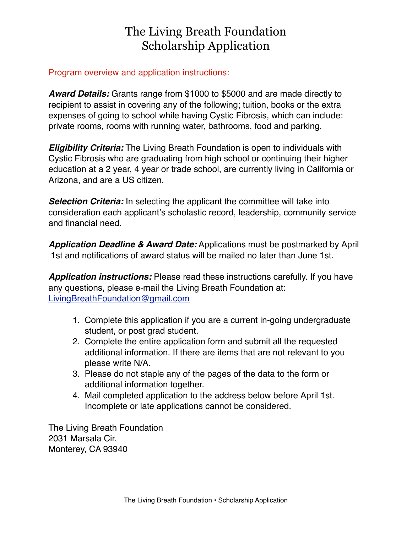#### Program overview and application instructions:

*Award Details:* Grants range from \$1000 to \$5000 and are made directly to recipient to assist in covering any of the following; tuition, books or the extra expenses of going to school while having Cystic Fibrosis, which can include: private rooms, rooms with running water, bathrooms, food and parking.

*Eligibility Criteria:* The Living Breath Foundation is open to individuals with Cystic Fibrosis who are graduating from high school or continuing their higher education at a 2 year, 4 year or trade school, are currently living in California or Arizona, and are a US citizen.

**Selection Criteria:** In selecting the applicant the committee will take into consideration each applicant's scholastic record, leadership, community service and financial need.

*Application Deadline & Award Date:* Applications must be postmarked by April 1st and notifications of award status will be mailed no later than June 1st.

*Application instructions:* Please read these instructions carefully. If you have any questions, please e-mail the Living Breath Foundation at: [LivingBreathFoundation@gmail.com](mailto:LivingBreathFoundation@gmail.com) 

- 1. Complete this application if you are a current in-going undergraduate student, or post grad student.
- 2. Complete the entire application form and submit all the requested additional information. If there are items that are not relevant to you please write N/A.
- 3. Please do not staple any of the pages of the data to the form or additional information together.
- 4. Mail completed application to the address below before April 1st. Incomplete or late applications cannot be considered.

The Living Breath Foundation 2031 Marsala Cir. Monterey, CA 93940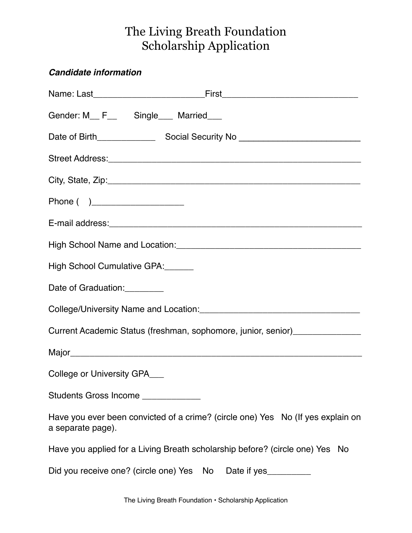## *Candidate information*

| Gender: M <sub>___</sub> F <sub>___</sub> Single____ Married____                                     |
|------------------------------------------------------------------------------------------------------|
|                                                                                                      |
|                                                                                                      |
|                                                                                                      |
| Phone ( )______________________                                                                      |
|                                                                                                      |
|                                                                                                      |
| High School Cumulative GPA: ______                                                                   |
| Date of Graduation:                                                                                  |
|                                                                                                      |
| Current Academic Status (freshman, sophomore, junior, senior)__________________                      |
|                                                                                                      |
| College or University GPA___                                                                         |
| Students Gross Income _____________                                                                  |
| Have you ever been convicted of a crime? (circle one) Yes No (If yes explain on<br>a separate page). |
| Have you applied for a Living Breath scholarship before? (circle one) Yes No                         |
| Did you receive one? (circle one) Yes No Date if yes                                                 |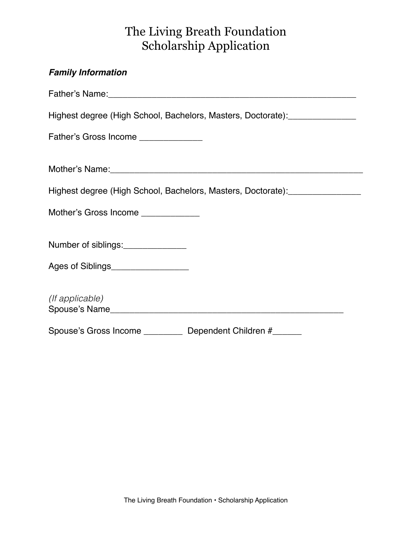# *Family Information*  Father's Name:\_\_\_\_\_\_\_\_\_\_\_\_\_\_\_\_\_\_\_\_\_\_\_\_\_\_\_\_\_\_\_\_\_\_\_\_\_\_\_\_\_\_\_\_\_\_\_\_\_\_\_ Highest degree (High School, Bachelors, Masters, Doctorate): \_\_\_\_\_\_\_\_\_\_\_\_\_\_\_\_\_\_\_ Father's Gross Income \_\_\_\_\_\_\_\_\_\_\_\_\_ Mother's Name:\_\_\_\_\_\_\_\_\_\_\_\_\_\_\_\_\_\_\_\_\_\_\_\_\_\_\_\_\_\_\_\_\_\_\_\_\_\_\_\_\_\_\_\_\_\_\_\_\_\_\_\_ Highest degree (High School, Bachelors, Masters, Doctorate): \_\_\_\_\_\_\_\_\_\_\_\_\_\_\_\_\_\_\_ Mother's Gross Income \_\_\_\_\_\_\_\_\_\_\_\_ Number of siblings:\_\_\_\_\_\_\_\_\_\_\_\_\_\_ Ages of Siblings *(If applicable)* Spouse's Name\_\_\_\_\_\_\_\_\_\_\_\_\_\_\_\_\_\_\_\_\_\_\_\_\_\_\_\_\_\_\_\_\_\_\_\_\_\_\_\_\_\_\_\_\_\_\_\_ Spouse's Gross Income **Dependent Children #**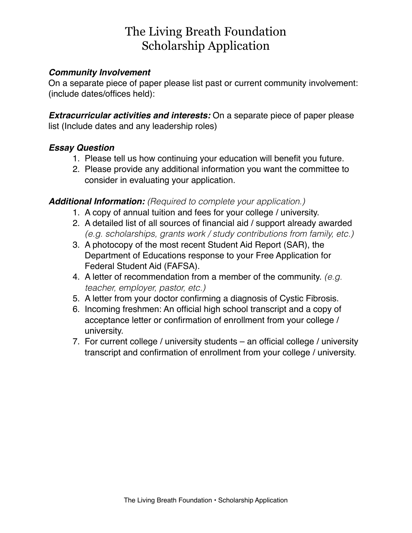#### *Community Involvement*

On a separate piece of paper please list past or current community involvement: (include dates/offices held):

*Extracurricular activities and interests:* On a separate piece of paper please list (Include dates and any leadership roles)

#### *Essay Question*

- 1. Please tell us how continuing your education will benefit you future.
- 2. Please provide any additional information you want the committee to consider in evaluating your application.

#### *Additional Information: (Required to complete your application.)*

- 1. A copy of annual tuition and fees for your college / university.
- 2. A detailed list of all sources of financial aid / support already awarded *(e.g. scholarships, grants work / study contributions from family, etc.)*
- 3. A photocopy of the most recent Student Aid Report (SAR), the Department of Educations response to your Free Application for Federal Student Aid (FAFSA).
- 4. A letter of recommendation from a member of the community. *(e.g. teacher, employer, pastor, etc.)*
- 5. A letter from your doctor confirming a diagnosis of Cystic Fibrosis.
- 6. Incoming freshmen: An official high school transcript and a copy of acceptance letter or confirmation of enrollment from your college / university.
- 7. For current college / university students an official college / university transcript and confirmation of enrollment from your college / university.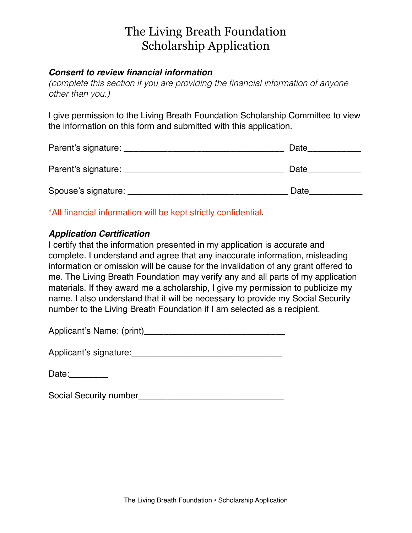#### *Consent to review financial information*

*(complete this section if you are providing the financial information of anyone other than you.)*

I give permission to the Living Breath Foundation Scholarship Committee to view the information on this form and submitted with this application.

| Parent's signature: | Date |
|---------------------|------|
| Parent's signature: | Date |
| Spouse's signature: | Date |

\*All financial information will be kept strictly confidential.

#### *Application Certification*

I certify that the information presented in my application is accurate and complete. I understand and agree that any inaccurate information, misleading information or omission will be cause for the invalidation of any grant offered to me. The Living Breath Foundation may verify any and all parts of my application materials. If they award me a scholarship, I give my permission to publicize my name. I also understand that it will be necessary to provide my Social Security number to the Living Breath Foundation if I am selected as a recipient.

| Applicant's Name: (print) |  |
|---------------------------|--|
|---------------------------|--|

| Applicant's signature: |  |
|------------------------|--|
|------------------------|--|

Date:

Social Security number